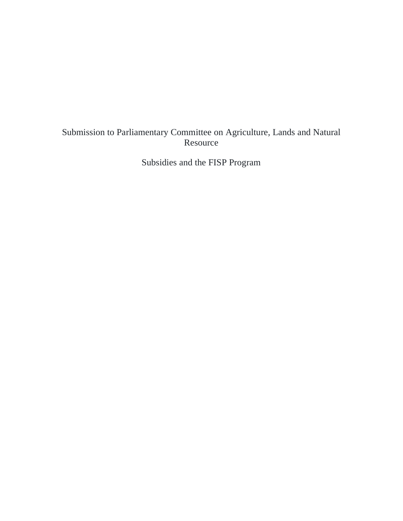# Submission to Parliamentary Committee on Agriculture, Lands and Natural Resource

Subsidies and the FISP Program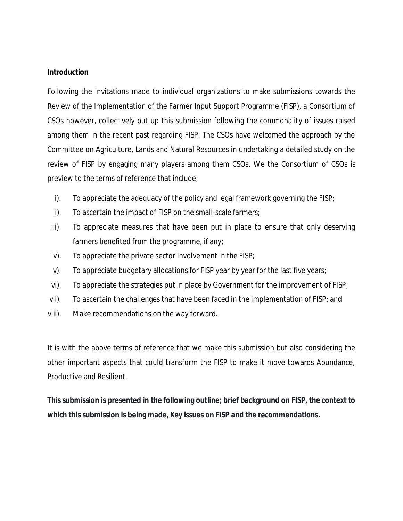#### **Introduction**

Following the invitations made to individual organizations to make submissions towards the Review of the Implementation of the Farmer Input Support Programme (FISP), a Consortium of CSOs however, collectively put up this submission following the commonality of issues raised among them in the recent past regarding FISP. The CSOs have welcomed the approach by the Committee on Agriculture, Lands and Natural Resources in undertaking a detailed study on the review of FISP by engaging many players among them CSOs. We the Consortium of CSOs is preview to the terms of reference that include;

- i). To appreciate the adequacy of the policy and legal framework governing the FISP;
- ii). To ascertain the impact of FISP on the small-scale farmers;
- iii). To appreciate measures that have been put in place to ensure that only deserving farmers benefited from the programme, if any;
- iv). To appreciate the private sector involvement in the FISP;
- v). To appreciate budgetary allocations for FISP year by year for the last five years;
- vi). To appreciate the strategies put in place by Government for the improvement of FISP;
- vii). To ascertain the challenges that have been faced in the implementation of FISP; and
- viii). Make recommendations on the way forward.

It is with the above terms of reference that we make this submission but also considering the other important aspects that could transform the FISP to make it move towards Abundance, Productive and Resilient.

**This submission is presented in the following outline; brief background on FISP, the context to which this submission is being made, Key issues on FISP and the recommendations.**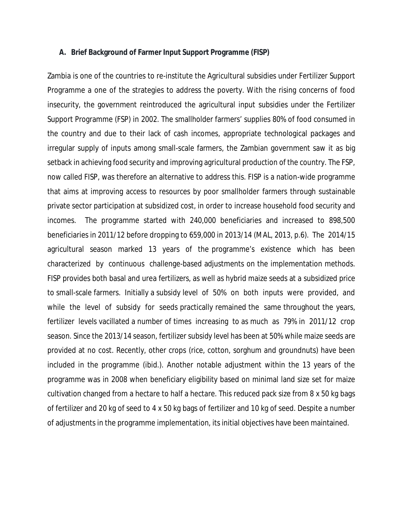#### **A. Brief Background of Farmer Input Support Programme (FISP)**

Zambia is one of the countries to re-institute the Agricultural subsidies under Fertilizer Support Programme a one of the strategies to address the poverty. With the rising concerns of food insecurity, the government reintroduced the agricultural input subsidies under the Fertilizer Support Programme (FSP) in 2002. The smallholder farmers' supplies 80% of food consumed in the country and due to their lack of cash incomes, appropriate technological packages and irregular supply of inputs among small-scale farmers, the Zambian government saw it as big setback in achieving food security and improving agricultural production of the country. The FSP, now called FISP, was therefore an alternative to address this. FISP is a nation-wide programme that aims at improving access to resources by poor smallholder farmers through sustainable private sector participation at subsidized cost, in order to increase household food security and incomes. The programme started with 240,000 beneficiaries and increased to 898,500 beneficiaries in 2011/12 before dropping to 659,000 in 2013/14 (MAL, 2013, p.6). The 2014/15 agricultural season marked 13 years of the programme's existence which has been characterized by continuous challenge-based adjustments on the implementation methods. FISP provides both basal and urea fertilizers, as well as hybrid maize seeds at a subsidized price to small-scale farmers. Initially a subsidy level of 50% on both inputs were provided, and while the level of subsidy for seeds practically remained the same throughout the years, fertilizer levels vacillated a number of times increasing to as much as 79% in 2011/12 crop season. Since the 2013/14 season, fertilizer subsidy level has been at 50% while maize seeds are provided at no cost. Recently, other crops (rice, cotton, sorghum and groundnuts) have been included in the programme (ibid.). Another notable adjustment within the 13 years of the programme was in 2008 when beneficiary eligibility based on minimal land size set for maize cultivation changed from a hectare to half a hectare. This reduced pack size from 8 x 50 kg bags of fertilizer and 20 kg of seed to 4 x 50 kg bags of fertilizer and 10 kg of seed. Despite a number of adjustments in the programme implementation, its initial objectives have been maintained.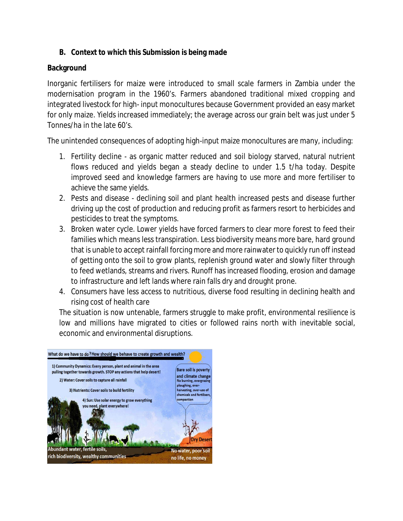## **B. Context to which this Submission is being made**

## **Background**

Inorganic fertilisers for maize were introduced to small scale farmers in Zambia under the modernisation program in the 1960's. Farmers abandoned traditional mixed cropping and integrated livestock for high- input monocultures because Government provided an easy market for only maize. Yields increased immediately; the average across our grain belt was just under 5 Tonnes/ha in the late 60's.

The unintended consequences of adopting high-input maize monocultures are many, including:

- 1. Fertility decline as organic matter reduced and soil biology starved, natural nutrient flows reduced and yields began a steady decline to under 1.5 t/ha today. Despite improved seed and knowledge farmers are having to use more and more fertiliser to achieve the same yields.
- 2. Pests and disease declining soil and plant health increased pests and disease further driving up the cost of production and reducing profit as farmers resort to herbicides and pesticides to treat the symptoms.
- 3. Broken water cycle. Lower yields have forced farmers to clear more forest to feed their families which means less transpiration. Less biodiversity means more bare, hard ground that is unable to accept rainfall forcing more and more rainwater to quickly run off instead of getting onto the soil to grow plants, replenish ground water and slowly filter through to feed wetlands, streams and rivers. Runoff has increased flooding, erosion and damage to infrastructure and left lands where rain falls dry and drought prone.
- 4. Consumers have less access to nutritious, diverse food resulting in declining health and rising cost of health care

The situation is now untenable, farmers struggle to make profit, environmental resilience is low and millions have migrated to cities or followed rains north with inevitable social, economic and environmental disruptions.

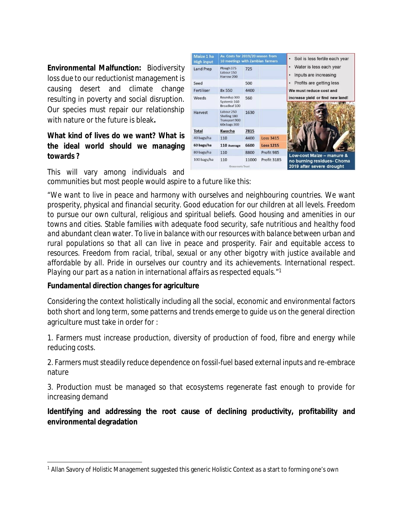**Environmental Malfunction:** Biodiversity loss due to our reductionist management is causing desert and climate change resulting in poverty and social disruption. Our species must repair our relationship with nature or the future is bleak**.** 

## **What kind of lives do we want? What is the ideal world should we managing towards ?**

| Maize 1 ha<br><b>High input</b> | Av. Costs for 2019/20 season from<br>10 meetings with Zambian farmers |       |                    | Soil is less fertile each year                             |
|---------------------------------|-----------------------------------------------------------------------|-------|--------------------|------------------------------------------------------------|
| <b>Land Prep</b>                | Plough 375<br>Labour 150<br>Harrow 200                                | 725   |                    | Water is less each year<br>٠<br>Inputs are increasing<br>٠ |
| Seed                            |                                                                       | 500   |                    | Profits are getting less<br>٠                              |
| Fertiliser                      | 8x 550                                                                | 4400  |                    | We must reduce cost and                                    |
| Weeds                           | Roundup 300<br>Systemic 160<br>Broadleaf 100                          | 560   |                    | increase yield or find new land!                           |
| Harvest                         | Labour 250<br>Shelling 180<br>Transport 900<br>60x bags 300           | 1630  |                    |                                                            |
| <b>Total</b>                    | Kwacha                                                                | 7815  |                    |                                                            |
| 40 bags/ha                      | 110                                                                   | 4400  | <b>Loss 3415</b>   |                                                            |
| 60 bags/ha                      | 110 Average                                                           | 6600  | <b>Loss 1215</b>   |                                                            |
| 80 bags/ha                      | 110                                                                   | 8800  | Profit 985         | Low-cost Maize - manure &                                  |
| 100 bags/ha                     | 110<br><b>Grassroots Trust</b>                                        | 11000 | <b>Profit 3185</b> | no burning residues- Choma<br>2019 after severe drought    |

This will vary among individuals and communities but most people would aspire to a future like this:

*"We want to live in peace and harmony with ourselves and neighbouring countries. We want prosperity, physical and financial security. Good education for our children at all levels. Freedom to pursue our own cultural, religious and spiritual beliefs. Good housing and amenities in our towns and cities. Stable families with adequate food security, safe nutritious and healthy food and abundant clean water. To live in balance with our resources with balance between urban and rural populations so that all can live in peace and prosperity. Fair and equitable access to resources. Freedom from racial, tribal, sexual or any other bigotry with justice available and affordable by all. Pride in ourselves our country and its achievements. International respect. Playing our part as a nation in international affairs as respected equals.*" 1

## **Fundamental direction changes for agriculture**

Considering the context holistically including all the social, economic and environmental factors both short and long term, some patterns and trends emerge to guide us on the general direction agriculture must take in order for :

1. Farmers must increase production, diversity of production of food, fibre and energy while reducing costs.

2. Farmers must steadily reduce dependence on fossil-fuel based external inputs and re-embrace nature

3. Production must be managed so that ecosystems regenerate fast enough to provide for increasing demand

**Identifying and addressing the root cause of declining productivity, profitability and environmental degradation**

<sup>1</sup> Allan Savory of Holistic Management suggested this generic Holistic Context as a start to forming one's own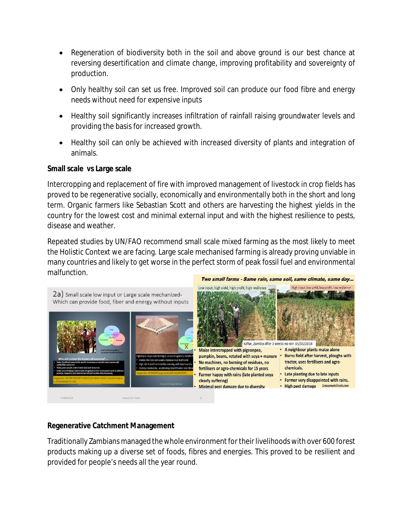- Regeneration of biodiversity both in the soil and above ground is our best chance at reversing desertification and climate change, improving profitability and sovereignty of production.
- Only healthy soil can set us free. Improved soil can produce our food fibre and energy needs without need for expensive inputs
- Healthy soil significantly increases infiltration of rainfall raising groundwater levels and providing the basis for increased growth.
- Healthy soil can only be achieved with increased diversity of plants and integration of animals.

## **Small scale vs Large scale**

Intercropping and replacement of fire with improved management of livestock in crop fields has proved to be regenerative socially, economically and environmentally both in the short and long term. Organic farmers like Sebastian Scott and others are harvesting the highest yields in the country for the lowest cost and minimal external input and with the highest resilience to pests, disease and weather.

Repeated studies by UN/FAO recommend small scale mixed farming as the most likely to meet the Holistic Context we are facing. Large scale mechanised farming is already proving unviable in many countries and likely to get worse in the perfect storm of peak fossil fuel and environmental malfunction.



## **Regenerative Catchment Management**

Traditionally Zambians managed the whole environment for their livelihoods with over 600 forest products making up a diverse set of foods, fibres and energies. This proved to be resilient and provided for people's needs all the year round.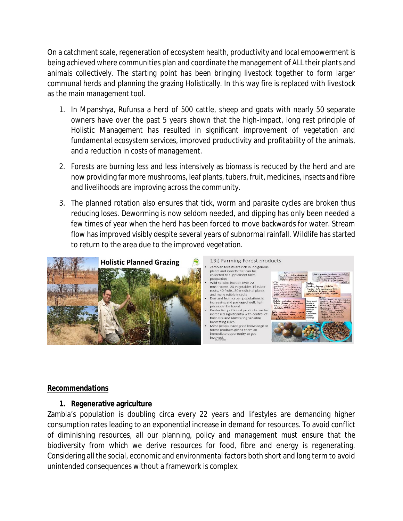On a catchment scale, regeneration of ecosystem health, productivity and local empowerment is being achieved where communities plan and coordinate the management of ALL their plants and animals collectively. The starting point has been bringing livestock together to form larger communal herds and planning the grazing Holistically. In this way fire is replaced with livestock as the main management tool.

- 1. In Mpanshya, Rufunsa a herd of 500 cattle, sheep and goats with nearly 50 separate owners have over the past 5 years shown that the high-impact, long rest principle of Holistic Management has resulted in significant improvement of vegetation and fundamental ecosystem services, improved productivity and profitability of the animals, and a reduction in costs of management.
- 2. Forests are burning less and less intensively as biomass is reduced by the herd and are now providing far more mushrooms, leaf plants, tubers, fruit, medicines, insects and fibre and livelihoods are improving across the community.
- 3. The planned rotation also ensures that tick, worm and parasite cycles are broken thus reducing loses. Deworming is now seldom needed, and dipping has only been needed a few times of year when the herd has been forced to move backwards for water. Stream flow has improved visibly despite several years of subnormal rainfall. Wildlife has started to return to the area due to the improved vegetation.



### *Recommendations*

## **1. Regenerative agriculture**

Zambia's population is doubling circa every 22 years and lifestyles are demanding higher consumption rates leading to an exponential increase in demand for resources. To avoid conflict of diminishing resources, all our planning, policy and management must ensure that the biodiversity from which we derive resources for food, fibre and energy is regenerating. Considering all the social, economic and environmental factors both short and long term to avoid unintended consequences without a framework is complex.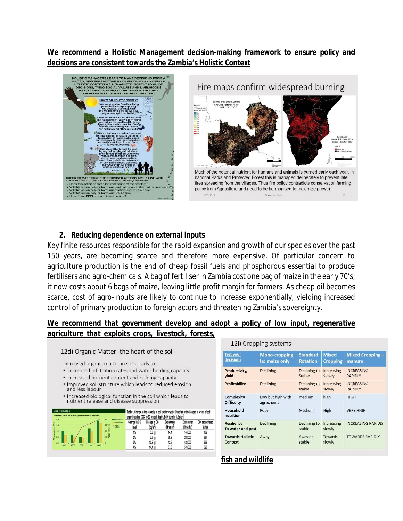*We recommend a Holistic Management decision-making framework to ensure policy and decisions are consistent towards the Zambia's Holistic Context* 





## **2. Reducing dependence on external inputs**

Key finite resources responsible for the rapid expansion and growth of our species over the past 150 years, are becoming scarce and therefore more expensive. Of particular concern to agriculture production is the end of cheap fossil fuels and phosphorous essential to produce fertilisers and agro-chemicals. A bag of fertiliser in Zambia cost one bag of maize in the early 70's; it now costs about 6 bags of maize, leaving little profit margin for farmers. As cheap oil becomes scarce, cost of agro-inputs are likely to continue to increase exponentially, yielding increased control of primary production to foreign actors and threatening Zambia's sovereignty.

## *We recommend that government develop and adopt a policy of low input, regenerative agriculture that exploits crops, livestock, forests,*

#### 12d) Organic Matter- the heart of the soil

Increased organic matter in soils leads to:

- Increased infiltration rates and water holding capacity
- Increased nutrient content and holding capacity
- . Improved soil structure which leads to reduced erosion and less labour
- . Increased biological function in the soil which leads to nutrient release and disease suppression

| Crop Production<br>Indicator: Maize Yield In Response to Manure Addition<br>20 | Table 1. Change in the capacity of soil to store water (litres/ha) with changes in levels of soil<br>organic carbon (OC) to 30 cm soil depth. Bulk density 1.2 g/cm <sup>3</sup> |                       |                       |                                      |                            |                                      |
|--------------------------------------------------------------------------------|----------------------------------------------------------------------------------------------------------------------------------------------------------------------------------|-----------------------|-----------------------|--------------------------------------|----------------------------|--------------------------------------|
| (DVp) U<br>1.5                                                                 | <b>Mitianasco</b><br>Post-season<br>aп<br>а<br>$+46001$<br>Manuro                                                                                                                | Change in OC<br>level | Change in OC<br>(ko m | Extra water<br>litres m <sup>o</sup> | Extra water<br>(litres/ha) | CO <sub>2</sub> sequestered<br>(tha) |
| $\Omega$<br>Í.                                                                 | 20 <sub>o</sub>                                                                                                                                                                  | 1%                    | 3.6 kg                | 14,4                                 | 144,000                    | 132                                  |
| š<br>0.5                                                                       | 10 <sup>2</sup>                                                                                                                                                                  | 2%                    | 7.2 <sub>k0</sub>     | 28.8                                 | 288,000                    | 264                                  |
| D.D.                                                                           |                                                                                                                                                                                  |                       | 10.8 kg               | 43.2                                 | 432,000                    | 396                                  |
| <b>2008</b><br>200<br>2009<br>2006<br>2005                                     |                                                                                                                                                                                  |                       | 14.4 kg               | 57.6                                 | 576,000                    | 528                                  |

| <b>ILIT CIUPPING SYSTEMS</b>              |                                        |                                    |                                 |                                     |  |  |  |  |
|-------------------------------------------|----------------------------------------|------------------------------------|---------------------------------|-------------------------------------|--|--|--|--|
| <b>Test your</b><br>decisions             | <b>Mono-cropping</b><br>le: maize only | <b>Standard</b><br><b>Rotation</b> | <b>Mixed</b><br><b>Cropping</b> | <b>Mixed Cropping +</b><br>manure   |  |  |  |  |
| Productivity,<br>yield                    | <b>Declining</b>                       | Declining to<br>Stable             | Increasing<br>Slowly            | <b>INCREASING</b><br><b>RAPIDLY</b> |  |  |  |  |
| Profitability                             | <b>Declining</b>                       | Declining to<br>stable             | Increasing<br>slowly            | <b>INCREASING</b><br><b>RAPIDLY</b> |  |  |  |  |
| Complexity<br><b>Difficulty</b>           | Low but high with<br>agrochems         | medium                             | high                            | <b>HIGH</b>                         |  |  |  |  |
| Household<br>nutrition                    | Poor                                   | Medium                             | High                            | <b>VERY HIGH</b>                    |  |  |  |  |
| <b>Resilience</b><br>To water and pest    | <b>Declining</b>                       | Declining to<br>stable             | Increasing<br>slowly            | <b>INCREASING RAPIDLY</b>           |  |  |  |  |
| <b>Towards Holistic</b><br><b>Context</b> | Away                                   | Away or<br>stable                  | <b>Towards</b><br>slowly        | <b>TOWARDS RAPIDLY</b>              |  |  |  |  |

*fish and wildlife* 

12il Cropping system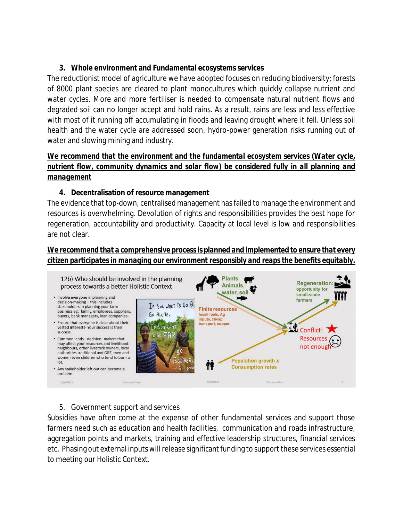## **3. Whole environment and Fundamental ecosystems services**

The reductionist model of agriculture we have adopted focuses on reducing biodiversity; forests of 8000 plant species are cleared to plant monocultures which quickly collapse nutrient and water cycles. More and more fertiliser is needed to compensate natural nutrient flows and degraded soil can no longer accept and hold rains. As a result, rains are less and less effective with most of it running off accumulating in floods and leaving drought where it fell. Unless soil health and the water cycle are addressed soon, hydro-power generation risks running out of water and slowing mining and industry.

## *We recommend that the environment and the fundamental ecosystem services (Water cycle, nutrient flow, community dynamics and solar flow) be considered fully in all planning and management*

## **4. Decentralisation of resource management**

The evidence that top-down, centralised management has failed to manage the environment and resources is overwhelming. Devolution of rights and responsibilities provides the best hope for regeneration, accountability and productivity. Capacity at local level is low and responsibilities are not clear.

## *We recommend that a comprehensive process is planned and implemented to ensure that every citizen participates in managing our environment responsibly and reaps the benefits equitably.*



### 5. Government support and services

Subsidies have often come at the expense of other fundamental services and support those farmers need such as education and health facilities, communication and roads infrastructure, aggregation points and markets, training and effective leadership structures, financial services etc. Phasing out external inputs will release significant funding to support these services essential to meeting our Holistic Context.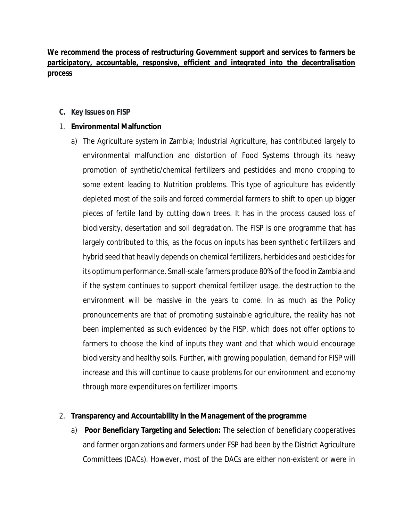## *We recommend the process of restructuring Government support and services to farmers be participatory, accountable, responsive, efficient and integrated into the decentralisation process*

## **C. Key Issues on FISP**

## 1. **Environmental Malfunction**

a) The Agriculture system in Zambia; Industrial Agriculture, has contributed largely to environmental malfunction and distortion of Food Systems through its heavy promotion of synthetic/chemical fertilizers and pesticides and mono cropping to some extent leading to Nutrition problems. This type of agriculture has evidently depleted most of the soils and forced commercial farmers to shift to open up bigger pieces of fertile land by cutting down trees. It has in the process caused loss of biodiversity, desertation and soil degradation. The FISP is one programme that has largely contributed to this, as the focus on inputs has been synthetic fertilizers and hybrid seed that heavily depends on chemical fertilizers, herbicides and pesticides for its optimum performance. Small-scale farmers produce 80% of the food in Zambia and if the system continues to support chemical fertilizer usage, the destruction to the environment will be massive in the years to come. In as much as the Policy pronouncements are that of promoting sustainable agriculture, the reality has not been implemented as such evidenced by the FISP, which does not offer options to farmers to choose the kind of inputs they want and that which would encourage biodiversity and healthy soils. Further, with growing population, demand for FISP will increase and this will continue to cause problems for our environment and economy through more expenditures on fertilizer imports.

### *2.* **Transparency and Accountability in the Management of the programme**

a) **Poor Beneficiary Targeting and Selection:** The selection of beneficiary cooperatives and farmer organizations and farmers under FSP had been by the District Agriculture Committees (DACs). However, most of the DACs are either non-existent or were in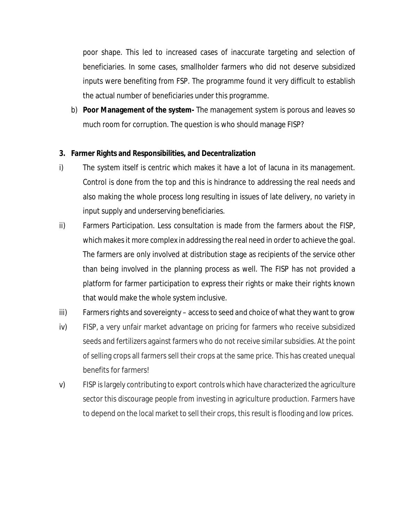poor shape. This led to increased cases of inaccurate targeting and selection of beneficiaries. In some cases, smallholder farmers who did not deserve subsidized inputs were benefiting from FSP. The programme found it very difficult to establish the actual number of beneficiaries under this programme.

b) **Poor Management of the system-** The management system is porous and leaves so much room for corruption. The question is who should manage FISP?

## **3. Farmer Rights and Responsibilities, and Decentralization**

- i) The system itself is centric which makes it have a lot of lacuna in its management. Control is done from the top and this is hindrance to addressing the real needs and also making the whole process long resulting in issues of late delivery, no variety in input supply and underserving beneficiaries.
- ii) Farmers Participation. Less consultation is made from the farmers about the FISP, which makes it more complex in addressing the real need in order to achieve the goal. The farmers are only involved at distribution stage as recipients of the service other than being involved in the planning process as well. The FISP has not provided a platform for farmer participation to express their rights or make their rights known that would make the whole system inclusive.
- iii) Farmers rights and sovereignty access to seed and choice of what they want to grow
- iv) FISP, a very unfair market advantage on pricing for farmers who receive subsidized seeds and fertilizers against farmers who do not receive similar subsidies. At the point of selling crops all farmers sell their crops at the same price. This has created unequal benefits for farmers!
- v) FISP is largely contributing to export controls which have characterized the agriculture sector this discourage people from investing in agriculture production. Farmers have to depend on the local market to sell their crops, this result is flooding and low prices.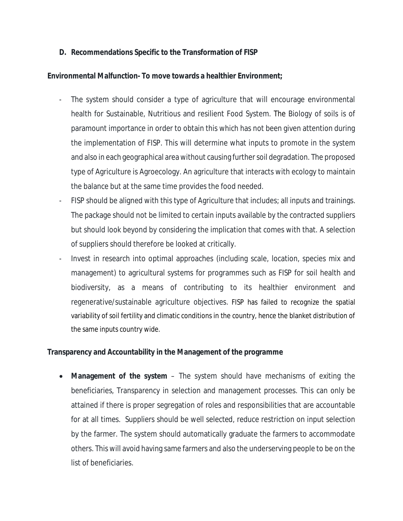## **D. Recommendations Specific to the Transformation of FISP**

## **Environmental Malfunction- To move towards a healthier Environment;**

- The system should consider a type of agriculture that will encourage environmental health for Sustainable, Nutritious and resilient Food System. The Biology of soils is of paramount importance in order to obtain this which has not been given attention during the implementation of FISP. This will determine what inputs to promote in the system and also in each geographical area without causing further soil degradation. The proposed type of Agriculture is Agroecology. An agriculture that interacts with ecology to maintain the balance but at the same time provides the food needed.
- FISP should be aligned with this type of Agriculture that includes; all inputs and trainings. The package should not be limited to certain inputs available by the contracted suppliers but should look beyond by considering the implication that comes with that. A selection of suppliers should therefore be looked at critically.
- Invest in research into optimal approaches (including scale, location, species mix and management) to agricultural systems for programmes such as FISP for soil health and biodiversity, as a means of contributing to its healthier environment and regenerative/sustainable agriculture objectives. FISP has failed to recognize the spatial variability of soil fertility and climatic conditions in the country, hence the blanket distribution of the same inputs country wide.

### **Transparency and Accountability in the Management of the programme**

 **Management of the system** – The system should have mechanisms of exiting the beneficiaries, Transparency in selection and management processes. This can only be attained if there is proper segregation of roles and responsibilities that are accountable for at all times. Suppliers should be well selected, reduce restriction on input selection by the farmer. The system should automatically graduate the farmers to accommodate others. This will avoid having same farmers and also the underserving people to be on the list of beneficiaries.